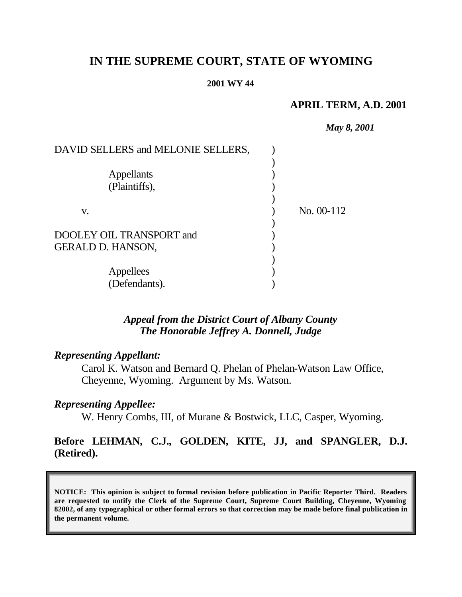# **IN THE SUPREME COURT, STATE OF WYOMING**

#### **2001 WY 44**

## **APRIL TERM, A.D. 2001**

|                                    | May 8, 2001  |
|------------------------------------|--------------|
| DAVID SELLERS and MELONIE SELLERS, |              |
|                                    |              |
| <b>Appellants</b>                  |              |
| (Plaintiffs),                      |              |
|                                    |              |
| V.                                 | No. $00-112$ |
|                                    |              |
| DOOLEY OIL TRANSPORT and           |              |
| GERALD D. HANSON,                  |              |
|                                    |              |
| Appellees                          |              |
| (Defendants).                      |              |

## *Appeal from the District Court of Albany County The Honorable Jeffrey A. Donnell, Judge*

## *Representing Appellant:*

Carol K. Watson and Bernard Q. Phelan of Phelan-Watson Law Office, Cheyenne, Wyoming. Argument by Ms. Watson.

## *Representing Appellee:*

W. Henry Combs, III, of Murane & Bostwick, LLC, Casper, Wyoming.

## **Before LEHMAN, C.J., GOLDEN, KITE, JJ, and SPANGLER, D.J. (Retired).**

**NOTICE: This opinion is subject to formal revision before publication in Pacific Reporter Third. Readers are requested to notify the Clerk of the Supreme Court, Supreme Court Building, Cheyenne, Wyoming 82002, of any typographical or other formal errors so that correction may be made before final publication in the permanent volume.**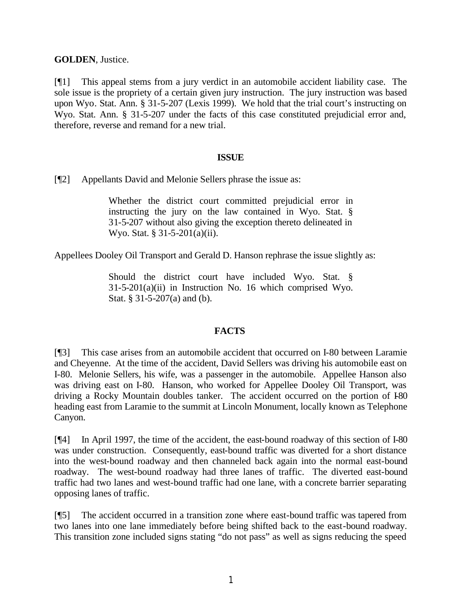**GOLDEN**, Justice.

[¶1] This appeal stems from a jury verdict in an automobile accident liability case. The sole issue is the propriety of a certain given jury instruction. The jury instruction was based upon Wyo. Stat. Ann. § 31-5-207 (Lexis 1999). We hold that the trial court's instructing on Wyo. Stat. Ann. § 31-5-207 under the facts of this case constituted prejudicial error and, therefore, reverse and remand for a new trial.

### **ISSUE**

[¶2] Appellants David and Melonie Sellers phrase the issue as:

Whether the district court committed prejudicial error in instructing the jury on the law contained in Wyo. Stat. § 31-5-207 without also giving the exception thereto delineated in Wyo. Stat. § 31-5-201(a)(ii).

Appellees Dooley Oil Transport and Gerald D. Hanson rephrase the issue slightly as:

Should the district court have included Wyo. Stat. §  $31-5-201(a)(ii)$  in Instruction No. 16 which comprised Wyo. Stat. § 31-5-207(a) and (b).

## **FACTS**

[¶3] This case arises from an automobile accident that occurred on I-80 between Laramie and Cheyenne. At the time of the accident, David Sellers was driving his automobile east on I-80. Melonie Sellers, his wife, was a passenger in the automobile. Appellee Hanson also was driving east on I-80. Hanson, who worked for Appellee Dooley Oil Transport, was driving a Rocky Mountain doubles tanker. The accident occurred on the portion of I-80 heading east from Laramie to the summit at Lincoln Monument, locally known as Telephone Canyon.

[¶4] In April 1997, the time of the accident, the east-bound roadway of this section of I-80 was under construction. Consequently, east-bound traffic was diverted for a short distance into the west-bound roadway and then channeled back again into the normal east-bound roadway. The west-bound roadway had three lanes of traffic. The diverted east-bound traffic had two lanes and west-bound traffic had one lane, with a concrete barrier separating opposing lanes of traffic.

[¶5] The accident occurred in a transition zone where east-bound traffic was tapered from two lanes into one lane immediately before being shifted back to the east-bound roadway. This transition zone included signs stating "do not pass" as well as signs reducing the speed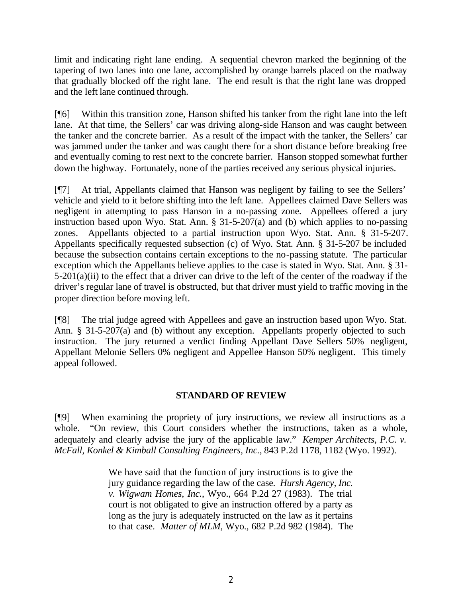limit and indicating right lane ending. A sequential chevron marked the beginning of the tapering of two lanes into one lane, accomplished by orange barrels placed on the roadway that gradually blocked off the right lane. The end result is that the right lane was dropped and the left lane continued through.

[¶6] Within this transition zone, Hanson shifted his tanker from the right lane into the left lane. At that time, the Sellers' car was driving along-side Hanson and was caught between the tanker and the concrete barrier. As a result of the impact with the tanker, the Sellers' car was jammed under the tanker and was caught there for a short distance before breaking free and eventually coming to rest next to the concrete barrier. Hanson stopped somewhat further down the highway. Fortunately, none of the parties received any serious physical injuries.

[¶7] At trial, Appellants claimed that Hanson was negligent by failing to see the Sellers' vehicle and yield to it before shifting into the left lane. Appellees claimed Dave Sellers was negligent in attempting to pass Hanson in a no-passing zone. Appellees offered a jury instruction based upon Wyo. Stat. Ann. § 31-5-207(a) and (b) which applies to no-passing zones. Appellants objected to a partial instruction upon Wyo. Stat. Ann. § 31-5-207. Appellants specifically requested subsection (c) of Wyo. Stat. Ann. § 31-5-207 be included because the subsection contains certain exceptions to the no-passing statute. The particular exception which the Appellants believe applies to the case is stated in Wyo. Stat. Ann. § 31- 5-201(a)(ii) to the effect that a driver can drive to the left of the center of the roadway if the driver's regular lane of travel is obstructed, but that driver must yield to traffic moving in the proper direction before moving left.

[¶8] The trial judge agreed with Appellees and gave an instruction based upon Wyo. Stat. Ann. § 31-5-207(a) and (b) without any exception. Appellants properly objected to such instruction. The jury returned a verdict finding Appellant Dave Sellers 50% negligent, Appellant Melonie Sellers 0% negligent and Appellee Hanson 50% negligent. This timely appeal followed.

## **STANDARD OF REVIEW**

[¶9] When examining the propriety of jury instructions, we review all instructions as a whole. "On review, this Court considers whether the instructions, taken as a whole, adequately and clearly advise the jury of the applicable law." *Kemper Architects, P.C. v. McFall, Konkel & Kimball Consulting Engineers, Inc.*, 843 P.2d 1178, 1182 (Wyo. 1992).

> We have said that the function of jury instructions is to give the jury guidance regarding the law of the case*. Hursh Agency, Inc. v. Wigwam Homes, Inc.*, Wyo., 664 P.2d 27 (1983). The trial court is not obligated to give an instruction offered by a party as long as the jury is adequately instructed on the law as it pertains to that case. *Matter of MLM,* Wyo., 682 P.2d 982 (1984). The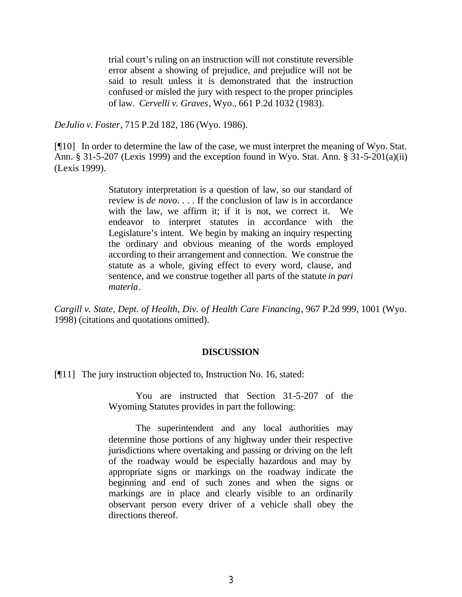trial court's ruling on an instruction will not constitute reversible error absent a showing of prejudice, and prejudice will not be said to result unless it is demonstrated that the instruction confused or misled the jury with respect to the proper principles of law. *Cervelli v. Graves*, Wyo., 661 P.2d 1032 (1983).

*DeJulio v. Foster*, 715 P.2d 182, 186 (Wyo. 1986).

[¶10] In order to determine the law of the case, we must interpret the meaning of Wyo. Stat. Ann. § 31-5-207 (Lexis 1999) and the exception found in Wyo. Stat. Ann. § 31-5-201(a)(ii) (Lexis 1999).

> Statutory interpretation is a question of law, so our standard of review is *de novo*. . . . If the conclusion of law is in accordance with the law, we affirm it; if it is not, we correct it. We endeavor to interpret statutes in accordance with the Legislature's intent. We begin by making an inquiry respecting the ordinary and obvious meaning of the words employed according to their arrangement and connection. We construe the statute as a whole, giving effect to every word, clause, and sentence, and we construe together all parts of the statute *in pari materia*.

*Cargill v. State, Dept. of Health, Div. of Health Care Financing*, 967 P.2d 999, 1001 (Wyo. 1998) (citations and quotations omitted).

#### **DISCUSSION**

[¶11] The jury instruction objected to, Instruction No. 16, stated:

You are instructed that Section 31-5-207 of the Wyoming Statutes provides in part the following:

The superintendent and any local authorities may determine those portions of any highway under their respective jurisdictions where overtaking and passing or driving on the left of the roadway would be especially hazardous and may by appropriate signs or markings on the roadway indicate the beginning and end of such zones and when the signs or markings are in place and clearly visible to an ordinarily observant person every driver of a vehicle shall obey the directions thereof.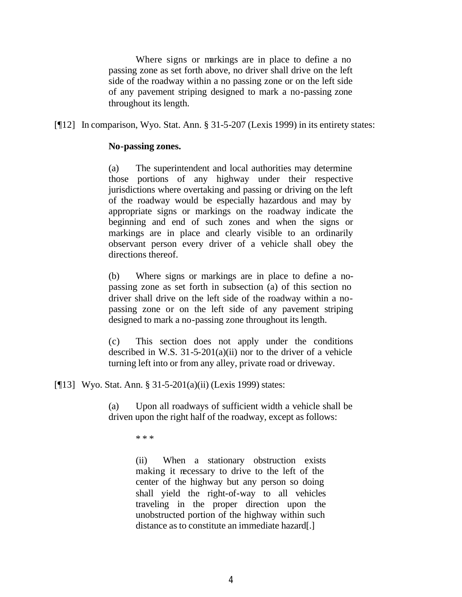Where signs or markings are in place to define a no passing zone as set forth above, no driver shall drive on the left side of the roadway within a no passing zone or on the left side of any pavement striping designed to mark a no-passing zone throughout its length.

[¶12] In comparison, Wyo. Stat. Ann. § 31-5-207 (Lexis 1999) in its entirety states:

### **No-passing zones.**

(a) The superintendent and local authorities may determine those portions of any highway under their respective jurisdictions where overtaking and passing or driving on the left of the roadway would be especially hazardous and may by appropriate signs or markings on the roadway indicate the beginning and end of such zones and when the signs or markings are in place and clearly visible to an ordinarily observant person every driver of a vehicle shall obey the directions thereof.

(b) Where signs or markings are in place to define a nopassing zone as set forth in subsection (a) of this section no driver shall drive on the left side of the roadway within a nopassing zone or on the left side of any pavement striping designed to mark a no-passing zone throughout its length.

(c) This section does not apply under the conditions described in W.S.  $31-5-201(a)(ii)$  nor to the driver of a vehicle turning left into or from any alley, private road or driveway.

[¶13] Wyo. Stat. Ann. § 31-5-201(a)(ii) (Lexis 1999) states:

(a) Upon all roadways of sufficient width a vehicle shall be driven upon the right half of the roadway, except as follows:

\* \* \*

(ii) When a stationary obstruction exists making it necessary to drive to the left of the center of the highway but any person so doing shall yield the right-of-way to all vehicles traveling in the proper direction upon the unobstructed portion of the highway within such distance as to constitute an immediate hazard[.]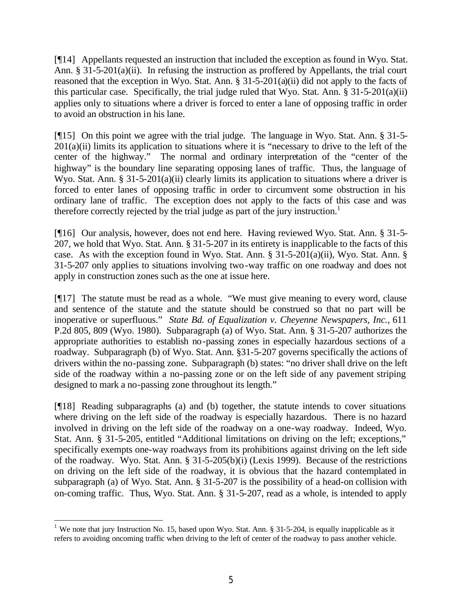[¶14] Appellants requested an instruction that included the exception as found in Wyo. Stat. Ann. § 31-5-201(a)(ii). In refusing the instruction as proffered by Appellants, the trial court reasoned that the exception in Wyo. Stat. Ann.  $\S 31-5-201(a)(ii)$  did not apply to the facts of this particular case. Specifically, the trial judge ruled that Wyo. Stat. Ann. § 31-5-201(a)(ii) applies only to situations where a driver is forced to enter a lane of opposing traffic in order to avoid an obstruction in his lane.

[¶15] On this point we agree with the trial judge. The language in Wyo. Stat. Ann. § 31-5-  $201(a)(ii)$  limits its application to situations where it is "necessary to drive to the left of the center of the highway." The normal and ordinary interpretation of the "center of the highway" is the boundary line separating opposing lanes of traffic. Thus, the language of Wyo. Stat. Ann. § 31-5-201(a)(ii) clearly limits its application to situations where a driver is forced to enter lanes of opposing traffic in order to circumvent some obstruction in his ordinary lane of traffic. The exception does not apply to the facts of this case and was therefore correctly rejected by the trial judge as part of the jury instruction.<sup>1</sup>

[¶16] Our analysis, however, does not end here. Having reviewed Wyo. Stat. Ann. § 31-5- 207, we hold that Wyo. Stat. Ann. § 31-5-207 in its entirety is inapplicable to the facts of this case. As with the exception found in Wyo. Stat. Ann. §  $31-5-201(a)(ii)$ , Wyo. Stat. Ann. § 31-5-207 only applies to situations involving two-way traffic on one roadway and does not apply in construction zones such as the one at issue here.

[¶17] The statute must be read as a whole. "We must give meaning to every word, clause and sentence of the statute and the statute should be construed so that no part will be inoperative or superfluous." *State Bd. of Equalization v. Cheyenne Newspapers, Inc.*, 611 P.2d 805, 809 (Wyo. 1980). Subparagraph (a) of Wyo. Stat. Ann. § 31-5-207 authorizes the appropriate authorities to establish no-passing zones in especially hazardous sections of a roadway. Subparagraph (b) of Wyo. Stat. Ann. §31-5-207 governs specifically the actions of drivers within the no-passing zone. Subparagraph (b) states: "no driver shall drive on the left side of the roadway within a no-passing zone or on the left side of any pavement striping designed to mark a no-passing zone throughout its length."

[¶18] Reading subparagraphs (a) and (b) together, the statute intends to cover situations where driving on the left side of the roadway is especially hazardous. There is no hazard involved in driving on the left side of the roadway on a one-way roadway. Indeed, Wyo. Stat. Ann. § 31-5-205, entitled "Additional limitations on driving on the left; exceptions," specifically exempts one-way roadways from its prohibitions against driving on the left side of the roadway. Wyo. Stat. Ann. § 31-5-205(b)(i) (Lexis 1999). Because of the restrictions on driving on the left side of the roadway, it is obvious that the hazard contemplated in subparagraph (a) of Wyo. Stat. Ann. § 31-5-207 is the possibility of a head-on collision with on-coming traffic. Thus, Wyo. Stat. Ann. § 31-5-207, read as a whole, is intended to apply

<sup>&</sup>lt;sup>1</sup> We note that jury Instruction No. 15, based upon Wyo. Stat. Ann. § 31-5-204, is equally inapplicable as it refers to avoiding oncoming traffic when driving to the left of center of the roadway to pass another vehicle.